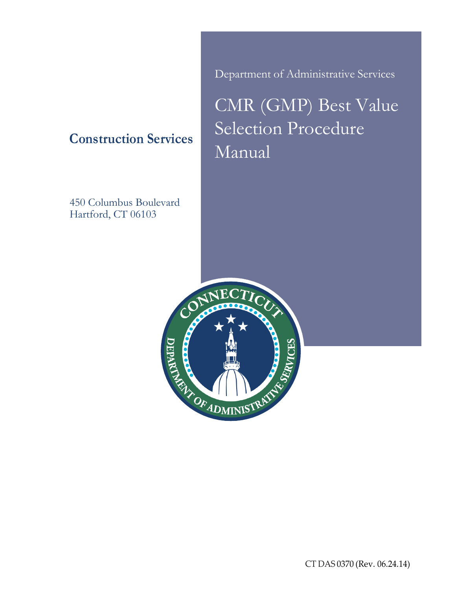**Construction Services**

450 Columbus Boulevard Hartford, CT 06103

Department of Administrative Services

CMR (GMP) Best Value Selection Procedure Manual



CT DAS 0370 (Rev. 06.24.14)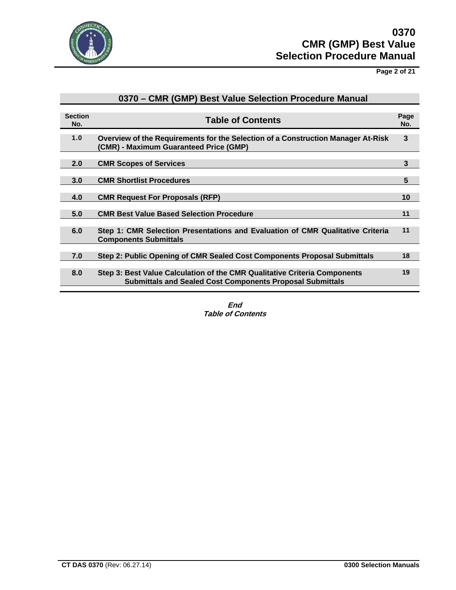

**Page 2 of 21**

|                       | 0370 – CMR (GMP) Best Value Selection Procedure Manual                                                                                        |             |
|-----------------------|-----------------------------------------------------------------------------------------------------------------------------------------------|-------------|
| <b>Section</b><br>No. | <b>Table of Contents</b>                                                                                                                      | Page<br>No. |
| 1.0                   | Overview of the Requirements for the Selection of a Construction Manager At-Risk<br>(CMR) - Maximum Guaranteed Price (GMP)                    | 3           |
| 2.0                   | <b>CMR Scopes of Services</b>                                                                                                                 | 3           |
| 3.0                   | <b>CMR Shortlist Procedures</b>                                                                                                               | 5           |
| 4.0                   | <b>CMR Request For Proposals (RFP)</b>                                                                                                        | 10          |
| 5.0                   | <b>CMR Best Value Based Selection Procedure</b>                                                                                               | 11          |
| 6.0                   | Step 1: CMR Selection Presentations and Evaluation of CMR Qualitative Criteria<br><b>Components Submittals</b>                                | 11          |
| 7.0                   | Step 2: Public Opening of CMR Sealed Cost Components Proposal Submittals                                                                      | 18          |
| 8.0                   | Step 3: Best Value Calculation of the CMR Qualitative Criteria Components<br><b>Submittals and Sealed Cost Components Proposal Submittals</b> | 19          |

## **End Table of Contents**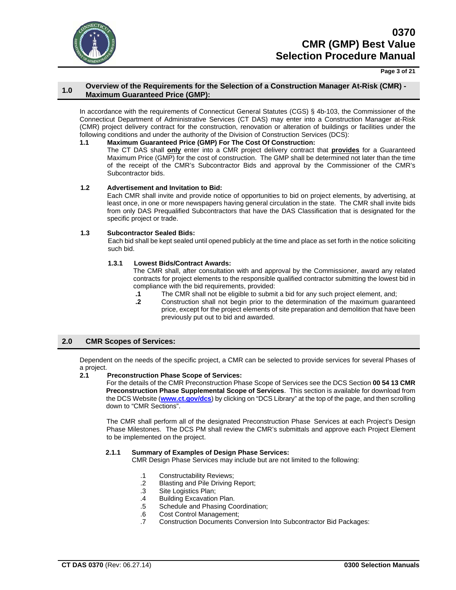

#### **Page 3 of 21**

### **1.0 Overview of the Requirements for the Selection of a Construction Manager At-Risk (CMR) - Maximum Guaranteed Price (GMP):**

In accordance with the requirements of Connecticut General Statutes (CGS) § 4b-103, the Commissioner of the Connecticut Department of Administrative Services (CT DAS) may enter into a Construction Manager at-Risk (CMR) project delivery contract for the construction, renovation or alteration of buildings or facilities under the following conditions and under the authority of the Division of Construction Services (DCS):<br>1.1 Maximum Guaranteed Price (GMP) For The Cost Of Construction:

#### **1.1 Maximum Guaranteed Price (GMP) For The Cost Of Construction:**

The CT DAS shall **only** enter into a CMR project delivery contract that **provides** for a Guaranteed Maximum Price (GMP) for the cost of construction. The GMP shall be determined not later than the time of the receipt of the CMR's Subcontractor Bids and approval by the Commissioner of the CMR's Subcontractor bids.

#### **1.2 Advertisement and Invitation to Bid:**

Each CMR shall invite and provide notice of opportunities to bid on project elements, by advertising, at least once, in one or more newspapers having general circulation in the state. The CMR shall invite bids from only DAS Prequalified Subcontractors that have the DAS Classification that is designated for the specific project or trade.

#### **1.3 Subcontractor Sealed Bids:**

Each bid shall be kept sealed until opened publicly at the time and place as set forth in the notice soliciting such bid.

## **1.3.1 Lowest Bids/Contract Awards:**

The CMR shall, after consultation with and approval by the Commissioner, award any related contracts for project elements to the responsible qualified contractor submitting the lowest bid in compliance with the bid requirements, provided:<br>1.1 The CMR shall not be eligible to submi

- **.1** The CMR shall not be eligible to submit a bid for any such project element, and;
	- **.2** Construction shall not begin prior to the determination of the maximum guaranteed price, except for the project elements of site preparation and demolition that have been previously put out to bid and awarded.

### **2.0 CMR Scopes of Services:**

Dependent on the needs of the specific project, a CMR can be selected to provide services for several Phases of a project.

### **2.1 Preconstruction Phase Scope of Services:**

For the details of the CMR Preconstruction Phase Scope of Services see the DCS Section **00 54 13 CMR Preconstruction Phase Supplemental Scope of Services**. This section is available for download from the DCS Website (**[www.ct.gov/dcs](http://www.ct.gov/dcs)**) by clicking on "DCS Library" at the top of the page, and then scrolling down to "CMR Sections".

The CMR shall perform all of the designated Preconstruction Phase Services at each Project's Design Phase Milestones. The DCS PM shall review the CMR's submittals and approve each Project Element to be implemented on the project.

### **2.1.1 Summary of Examples of Design Phase Services:**

CMR Design Phase Services may include but are not limited to the following:

- .1 Constructability Reviews;<br>.2 Blasting and Pile Driving
- .2 Blasting and Pile Driving Report;<br>.3 Site Logistics Plan;
- Site Logistics Plan;
- .4 Building Excavation Plan.
- .5 Schedule and Phasing Coordination;
- .6 Cost Control Management;
- .7 Construction Documents Conversion Into Subcontractor Bid Packages: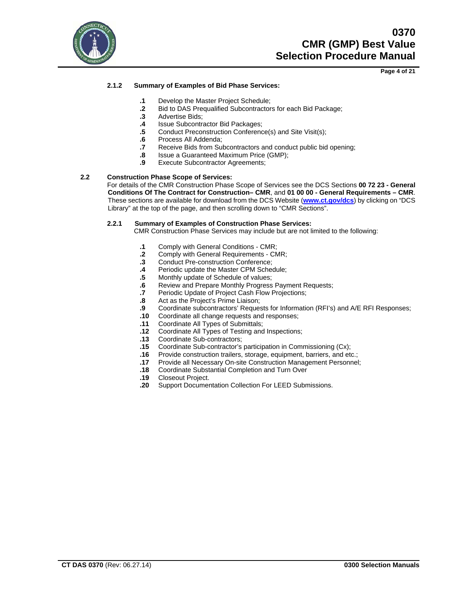

**Page 4 of 21**

## **2.1.2 Summary of Examples of Bid Phase Services:**

- **.1** Develop the Master Project Schedule;
- **.2** Bid to DAS Prequalified Subcontractors for each Bid Package;
- **.3** Advertise Bids;
- **.4** Issue Subcontractor Bid Packages;
- **.5** Conduct Preconstruction Conference(s) and Site Visit(s);<br>**.6** Process All Addenda;
- **.6** Process All Addenda;
- **.7** Receive Bids from Subcontractors and conduct public bid opening;
- **.8** Issue a Guaranteed Maximum Price (GMP);
- **Execute Subcontractor Agreements;**

## **2.2 Construction Phase Scope of Services:**

For details of the CMR Construction Phase Scope of Services see the DCS Sections **00 72 23 - General Conditions Of The Contract for Construction– CMR**, and **01 00 00 - General Requirements – CMR**. These sections are available for download from the DCS Website (**[www.ct.gov/dcs](http://www.ct.gov/dcs)**) by clicking on "DCS Library" at the top of the page, and then scrolling down to "CMR Sections".

### **2.2.1 Summary of Examples of Construction Phase Services:**

CMR Construction Phase Services may include but are not limited to the following:

- **.1** Comply with General Conditions CMR;
- **2** Comply with General Requirements CMR;<br>**3** Conduct Pre-construction Conference:
- **.3** Conduct Pre-construction Conference;
- **.4** Periodic update the Master CPM Schedule;
- **.5** Monthly update of Schedule of values;
- **.6** Review and Prepare Monthly Progress Payment Requests;
- Periodic Update of Project Cash Flow Projections;
- **.8** Act as the Project's Prime Liaison;
- **.9** Coordinate subcontractors' Requests for Information (RFI's) and A/E RFI Responses;
- **.10** Coordinate all change requests and responses;
- **.11** Coordinate All Types of Submittals;
- **.12** Coordinate All Types of Testing and Inspections;
- **.13** Coordinate Sub-contractors;
- **.15** Coordinate Sub-contractor's participation in Commissioning (Cx);
- **.16** Provide construction trailers, storage, equipment, barriers, and etc.;
- **.17** Provide all Necessary On-site Construction Management Personnel;
- **.18** Coordinate Substantial Completion and Turn Over
- **.19** Closeout Project.
- **.20** Support Documentation Collection For LEED Submissions.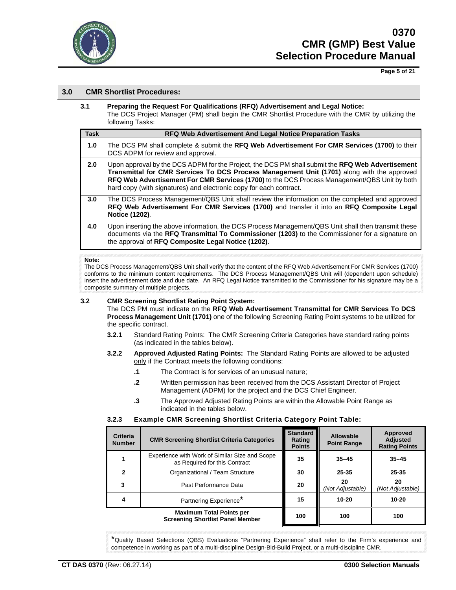

**Page 5 of 21**

## **3.0 CMR Shortlist Procedures:**

**3.1 Preparing the Request For Qualifications (RFQ) Advertisement and Legal Notice:** The DCS Project Manager (PM) shall begin the CMR Shortlist Procedure with the CMR by utilizing the following Tasks:

| <b>Task</b> | RFQ Web Advertisement And Legal Notice Preparation Tasks                                                                                                                                                                                                                                                                                                             |
|-------------|----------------------------------------------------------------------------------------------------------------------------------------------------------------------------------------------------------------------------------------------------------------------------------------------------------------------------------------------------------------------|
| 1.0         | The DCS PM shall complete & submit the RFQ Web Advertisement For CMR Services (1700) to their<br>DCS ADPM for review and approval.                                                                                                                                                                                                                                   |
| 2.0         | Upon approval by the DCS ADPM for the Project, the DCS PM shall submit the RFQ Web Advertisement<br>Transmittal for CMR Services To DCS Process Management Unit (1701) along with the approved<br>RFQ Web Advertisement For CMR Services (1700) to the DCS Process Management/QBS Unit by both<br>hard copy (with signatures) and electronic copy for each contract. |
| 3.0         | The DCS Process Management/QBS Unit shall review the information on the completed and approved<br>RFQ Web Advertisement For CMR Services (1700) and transfer it into an RFQ Composite Legal<br>Notice (1202).                                                                                                                                                        |
| 4.0         | Upon inserting the above information, the DCS Process Management/QBS Unit shall then transmit these<br>documents via the RFQ Transmittal To Commissioner (1203) to the Commissioner for a signature on<br>the approval of RFQ Composite Legal Notice (1202).                                                                                                         |

#### **Note:**

The DCS Process Management/QBS Unit shall verify that the content of the RFQ Web Advertisement For CMR Services (1700) conforms to the minimum content requirements. The DCS Process Management/QBS Unit will (dependent upon schedule) insert the advertisement date and due date. An RFQ Legal Notice transmitted to the Commissioner for his signature may be a composite summary of multiple projects.

### **3.2 CMR Screening Shortlist Rating Point System:**

The DCS PM must indicate on the **RFQ Web Advertisement Transmittal for CMR Services To DCS Process Management Unit (1701)** one of the following Screening Rating Point systems to be utilized for the specific contract.

- **3.2.1** Standard Rating Points: The CMR Screening Criteria Categories have standard rating points (as indicated in the tables below).
- **3.2.2 Approved Adjusted Rating Points:** The Standard Rating Points are allowed to be adjusted only if the Contract meets the following conditions:
	- **.1** The Contract is for services of an unusual nature;
	- **.2** Written permission has been received from the DCS Assistant Director of Project Management (ADPM) for the project and the DCS Chief Engineer.
	- **.3** The Approved Adjusted Rating Points are within the Allowable Point Range as indicated in the tables below.

### **3.2.3 Example CMR Screening Shortlist Criteria Category Point Table:**

| <b>Criteria</b><br><b>Number</b> | <b>CMR Screening Shortlist Criteria Categories</b>                              | <b>Standard</b><br>Rating<br><b>Points</b> | Allowable<br><b>Point Range</b> | Approved<br><b>Adjusted</b><br><b>Rating Points</b> |
|----------------------------------|---------------------------------------------------------------------------------|--------------------------------------------|---------------------------------|-----------------------------------------------------|
|                                  | Experience with Work of Similar Size and Scope<br>as Required for this Contract | 35                                         | $35 - 45$                       | $35 - 45$                                           |
| 2                                | Organizational / Team Structure                                                 | 30                                         | 25-35                           | 25-35                                               |
| 3                                | Past Performance Data                                                           | 20                                         | 20<br>(Not Adjustable)          | 20<br>(Not Adjustable)                              |
| 4                                | Partnering Experience*                                                          | 15                                         | 10-20                           | $10 - 20$                                           |
|                                  | <b>Maximum Total Points per</b><br><b>Screening Shortlist Panel Member</b>      | 100                                        | 100                             | 100                                                 |

\*Quality Based Selections (QBS) Evaluations "Partnering Experience" shall refer to the Firm's experience and competence in working as part of a multi-discipline Design-Bid-Build Project, or a multi-discipline CMR.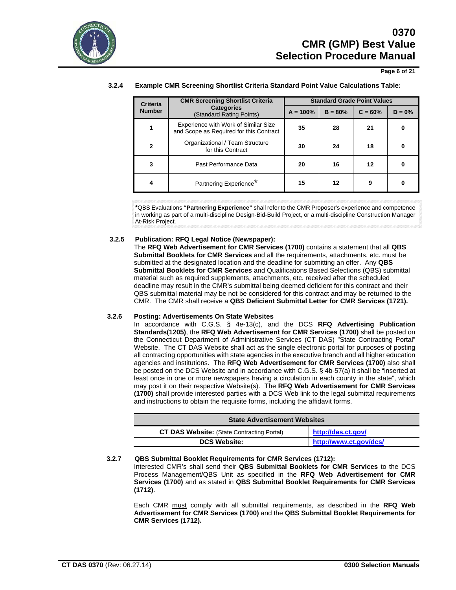

**Page 6 of 21**

| Criteria      | <b>CMR Screening Shortlist Criteria</b>                                         |            |           | <b>Standard Grade Point Values</b> |           |
|---------------|---------------------------------------------------------------------------------|------------|-----------|------------------------------------|-----------|
| <b>Number</b> | <b>Categories</b><br>(Standard Rating Points)                                   | $A = 100%$ | $B = 80%$ | $C = 60%$                          | $D = 0\%$ |
|               | Experience with Work of Similar Size<br>and Scope as Required for this Contract | 35         | 28        | 21                                 | 0         |
| $\mathbf{2}$  | Organizational / Team Structure<br>for this Contract                            | 30         | 24        | 18                                 | o         |
| 3             | Past Performance Data                                                           | 20         | 16        | 12                                 | 0         |
| 4             | Partnering Experience*                                                          | 15         | 12        | 9                                  | 0         |

#### **3.2.4 Example CMR Screening Shortlist Criteria Standard Point Value Calculations Table:**

**\***QBS Evaluations **"Partnering Experience"** shall refer to the CMR Proposer's experience and competence in working as part of a multi-discipline Design-Bid-Build Project, or a multi-discipline Construction Manager At-Risk Project.

### **3.2.5 Publication: RFQ Legal Notice (Newspaper):**

The **RFQ Web Advertisement for CMR Services (1700)** contains a statement that all **QBS Submittal Booklets for CMR Services** and all the requirements, attachments, etc. must be submitted at the designated location and the deadline for submitting an offer. Any **QBS Submittal Booklets for CMR Services** and Qualifications Based Selections (QBS) submittal material such as required supplements, attachments, etc. received after the scheduled deadline may result in the CMR's submittal being deemed deficient for this contract and their QBS submittal material may be not be considered for this contract and may be returned to the CMR. The CMR shall receive a **QBS Deficient Submittal Letter for CMR Services (1721).**

### **3.2.6 Posting: Advertisements On State Websites**

In accordance with C.G.S. § 4e-13(c), and the DCS **RFQ Advertising Publication Standards(1205)**, the **RFQ Web Advertisement for CMR Services (1700)** shall be posted on the Connecticut Department of Administrative Services (CT DAS) "State Contracting Portal" Website. The CT DAS Website shall act as the single electronic portal for purposes of posting all contracting opportunities with state agencies in the executive branch and all higher education agencies and institutions. The **RFQ Web Advertisement for CMR Services (1700)** also shall be posted on the DCS Website and in accordance with C.G.S. § 4b-57(a) it shall be "inserted at least once in one or more newspapers having a circulation in each county in the state", which may post it on their respective Website(s). The **RFQ Web Advertisement for CMR Services (1700)** shall provide interested parties with a DCS Web link to the legal submittal requirements and instructions to obtain the requisite forms, including the affidavit forms.

| <b>State Advertisement Websites</b>               |                        |
|---------------------------------------------------|------------------------|
| <b>CT DAS Website:</b> (State Contracting Portal) | http://das.ct.gov/     |
| <b>DCS Website:</b>                               | http://www.ct.gov/dcs/ |

### **3.2.7 QBS Submittal Booklet Requirements for CMR Services (1712):**

Interested CMR's shall send their **QBS Submittal Booklets for CMR Services** to the DCS Process Management/QBS Unit as specified in the **RFQ Web Advertisement for CMR Services (1700)** and as stated in **QBS Submittal Booklet Requirements for CMR Services (1712)**.

Each CMR must comply with all submittal requirements, as described in the **RFQ Web Advertisement for CMR Services (1700)** and the **QBS Submittal Booklet Requirements for CMR Services (1712).**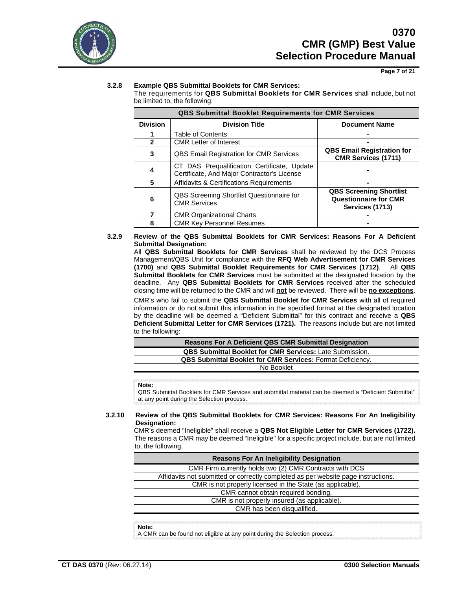

**Page 7 of 21**

## **3.2.8 Example QBS Submittal Booklets for CMR Services:**

The requirements for **QBS Submittal Booklets for CMR Services** shall include, but not be limited to, the following:

|                 | <b>QBS Submittal Booklet Requirements for CMR Services</b>                                 |                                                                                   |  |
|-----------------|--------------------------------------------------------------------------------------------|-----------------------------------------------------------------------------------|--|
| <b>Division</b> | <b>Division Title</b>                                                                      | <b>Document Name</b>                                                              |  |
|                 | <b>Table of Contents</b>                                                                   |                                                                                   |  |
|                 | <b>CMR Letter of Interest</b>                                                              |                                                                                   |  |
| 3               | <b>QBS Email Registration for CMR Services</b>                                             | <b>QBS Email Registration for</b><br><b>CMR Services (1711)</b>                   |  |
| 4               | CT DAS Prequalification Certificate, Update<br>Certificate, And Major Contractor's License |                                                                                   |  |
| 5               | <b>Affidavits &amp; Certifications Requirements</b>                                        |                                                                                   |  |
| 6               | QBS Screening Shortlist Questionnaire for<br><b>CMR Services</b>                           | <b>QBS Screening Shortlist</b><br><b>Questionnaire for CMR</b><br>Services (1713) |  |
|                 | <b>CMR Organizational Charts</b>                                                           |                                                                                   |  |
|                 | <b>CMR Key Personnel Resumes</b>                                                           |                                                                                   |  |

**3.2.9 Review of the QBS Submittal Booklets for CMR Services: Reasons For A Deficient Submittal Designation:**

All **QBS Submittal Booklets for CMR Services** shall be reviewed by the DCS Process Management/QBS Unit for compliance with the **RFQ Web Advertisement for CMR Services (1700)** and **QBS Submittal Booklet Requirements for CMR Services (1712)**. All **QBS Submittal Booklets for CMR Services** must be submitted at the designated location by the deadline. Any **QBS Submittal Booklets for CMR Services** received after the scheduled closing time will be returned to the CMR and will **not** be reviewed. There will be **no exceptions**.

CMR's who fail to submit the **QBS Submittal Booklet for CMR Services** with all of required information or do not submit this information in the specified format at the designated location by the deadline will be deemed a "Deficient Submittal" for this contract and receive a **QBS Deficient Submittal Letter for CMR Services (1721).** The reasons include but are not limited to the following:

| <b>Reasons For A Deficient QBS CMR Submittal Designation</b>      |
|-------------------------------------------------------------------|
| <b>QBS Submittal Booklet for CMR Services: Late Submission.</b>   |
| <b>QBS Submittal Booklet for CMR Services: Format Deficiency.</b> |
| No Booklet                                                        |

**Note:**

QBS Submittal Booklets for CMR Services and submittal material can be deemed a "Deficient Submittal" at any point during the Selection process.

## **3.2.10 Review of the QBS Submittal Booklets for CMR Services: Reasons For An Ineligibility Designation:**

CMR's deemed "Ineligible" shall receive a **QBS Not Eligible Letter for CMR Services (1722).** The reasons a CMR may be deemed "Ineligible" for a specific project include, but are not limited to, the following.

| <b>Reasons For An Ineligibility Designation</b>                                   |
|-----------------------------------------------------------------------------------|
| CMR Firm currently holds two (2) CMR Contracts with DCS                           |
| Affidavits not submitted or correctly completed as per website page instructions. |
| CMR is not properly licensed in the State (as applicable).                        |
| CMR cannot obtain required bonding.                                               |
| CMR is not properly insured (as applicable).                                      |
| CMR has been disqualified.                                                        |
|                                                                                   |

**Note:**

A CMR can be found not eligible at any point during the Selection process.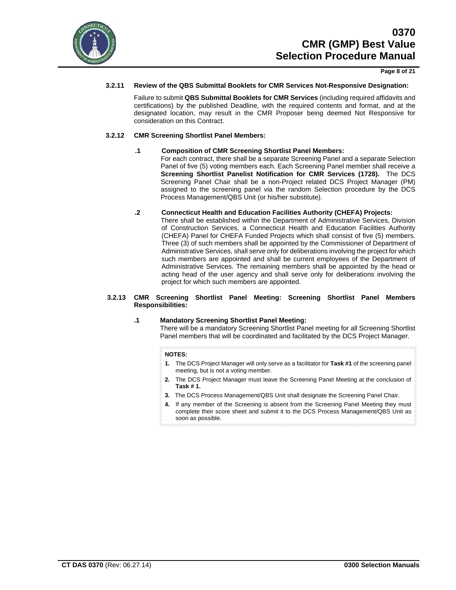

#### **Page 8 of 21**

### **3.2.11 Review of the QBS Submittal Booklets for CMR Services Not-Responsive Designation:**

Failure to submit **QBS Submittal Booklets for CMR Services** (including required affidavits and certifications) by the published Deadline, with the required contents and format, and at the designated location, may result in the CMR Proposer being deemed Not Responsive for consideration on this Contract.

### **3.2.12 CMR Screening Shortlist Panel Members:**

### **.1 Composition of CMR Screening Shortlist Panel Members:**

For each contract, there shall be a separate Screening Panel and a separate Selection Panel of five (5) voting members each. Each Screening Panel member shall receive a **Screening Shortlist Panelist Notification for CMR Services (1728).** The DCS Screening Panel Chair shall be a non-Project related DCS Project Manager (PM) assigned to the screening panel via the random Selection procedure by the DCS Process Management/QBS Unit (or his/her substitute).

### **.2 Connecticut Health and Education Facilities Authority (CHEFA) Projects:**

There shall be established within the Department of Administrative Services, Division of Construction Services, a Connecticut Health and Education Facilities Authority (CHEFA) Panel for CHEFA Funded Projects which shall consist of five (5) members. Three (3) of such members shall be appointed by the Commissioner of Department of Administrative Services, shall serve only for deliberations involving the project for which such members are appointed and shall be current employees of the Department of Administrative Services. The remaining members shall be appointed by the head or acting head of the user agency and shall serve only for deliberations involving the project for which such members are appointed.

#### **3.2.13 CMR Screening Shortlist Panel Meeting: Screening Shortlist Panel Members Responsibilities:**

### **.1 Mandatory Screening Shortlist Panel Meeting:**

There will be a mandatory Screening Shortlist Panel meeting for all Screening Shortlist Panel members that will be coordinated and facilitated by the DCS Project Manager.

#### **NOTES:**

- **1.** The DCS Project Manager will only serve as a facilitator for **Task #1** of the screening panel meeting, but is not a voting member.
- **2.** The DCS Project Manager must leave the Screening Panel Meeting at the conclusion of **Task # 1.**
- **3.** The DCS Process Management/QBS Unit shall designate the Screening Panel Chair.
- **4.** If any member of the Screening is absent from the Screening Panel Meeting they must complete their score sheet and submit it to the DCS Process Management/QBS Unit as soon as possible.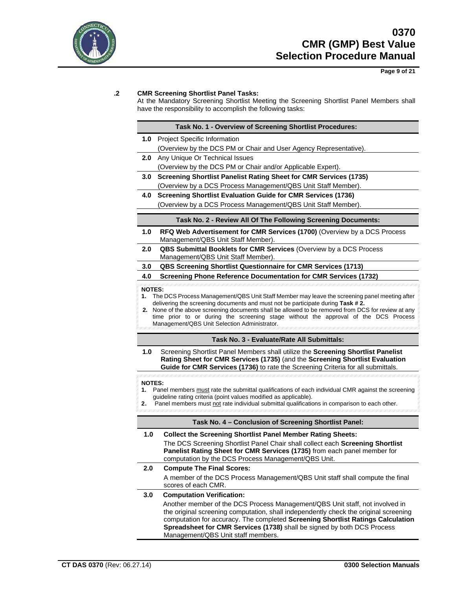

**Page 9 of 21**

## **.2 CMR Screening Shortlist Panel Tasks:**

At the Mandatory Screening Shortlist Meeting the Screening Shortlist Panel Members shall have the responsibility to accomplish the following tasks:

|               | Task No. 1 - Overview of Screening Shortlist Procedures:                                                                                                                             |
|---------------|--------------------------------------------------------------------------------------------------------------------------------------------------------------------------------------|
| 1.0           | Project Specific Information                                                                                                                                                         |
|               | (Overview by the DCS PM or Chair and User Agency Representative).                                                                                                                    |
| 2.0           | Any Unique Or Technical Issues                                                                                                                                                       |
|               | (Overview by the DCS PM or Chair and/or Applicable Expert).                                                                                                                          |
| 3.0           | <b>Screening Shortlist Panelist Rating Sheet for CMR Services (1735)</b>                                                                                                             |
|               | (Overview by a DCS Process Management/QBS Unit Staff Member).                                                                                                                        |
| 4.0           | <b>Screening Shortlist Evaluation Guide for CMR Services (1736)</b>                                                                                                                  |
|               | (Overview by a DCS Process Management/QBS Unit Staff Member).                                                                                                                        |
|               | Task No. 2 - Review All Of The Following Screening Documents:                                                                                                                        |
| 1.0           | RFQ Web Advertisement for CMR Services (1700) (Overview by a DCS Process<br>Management/QBS Unit Staff Member).                                                                       |
| 2.0           | QBS Submittal Booklets for CMR Services (Overview by a DCS Process<br>Management/QBS Unit Staff Member).                                                                             |
| 3.0           | <b>QBS Screening Shortlist Questionnaire for CMR Services (1713)</b>                                                                                                                 |
| 4.0           | <b>Screening Phone Reference Documentation for CMR Services (1732)</b>                                                                                                               |
| <b>NOTES:</b> |                                                                                                                                                                                      |
| 1.            | The DCS Process Management/QBS Unit Staff Member may leave the screening panel meeting after                                                                                         |
|               | delivering the screening documents and must not be participate during Task #2.<br>2. None of the above screening documents shall be allowed to be removed from DCS for review at any |
|               | time prior to or during the screening stage without the approval of the DCS Process                                                                                                  |
|               | Management/QBS Unit Selection Administrator.                                                                                                                                         |
|               | Task No. 3 - Evaluate/Rate All Submittals:                                                                                                                                           |
|               |                                                                                                                                                                                      |
| 1.0           | Screening Shortlist Panel Members shall utilize the Screening Shortlist Panelist<br>Rating Sheet for CMR Services (1735) (and the Screening Shortlist Evaluation                     |
|               | Guide for CMR Services (1736) to rate the Screening Criteria for all submittals.                                                                                                     |
| <b>NOTES:</b> |                                                                                                                                                                                      |
| 1.            | Panel members must rate the submittal qualifications of each individual CMR against the screening                                                                                    |
| 2.            | guideline rating criteria (point values modified as applicable).<br>Panel members must not rate individual submittal qualifications in comparison to each other.                     |
|               |                                                                                                                                                                                      |
|               | Task No. 4 - Conclusion of Screening Shortlist Panel:                                                                                                                                |
| 1.0           | <b>Collect the Screening Shortlist Panel Member Rating Sheets:</b>                                                                                                                   |
|               | The DCS Screening Shortlist Panel Chair shall collect each Screening Shortlist<br>Panelist Rating Sheet for CMR Services (1735) from each panel member for                           |
| 2.0           | computation by the DCS Process Management/QBS Unit.<br><b>Compute The Final Scores:</b>                                                                                              |
|               | A member of the DCS Process Management/QBS Unit staff shall compute the final<br>scores of each CMR.                                                                                 |
| 3.0           | <b>Computation Verification:</b>                                                                                                                                                     |
|               | Another member of the DCS Process Management/QBS Unit staff, not involved in                                                                                                         |
|               | the original screening computation, shall independently check the original screening                                                                                                 |
|               | computation for accuracy. The completed Screening Shortlist Ratings Calculation<br>Spreadsheet for CMR Services (1738) shall be signed by both DCS Process                           |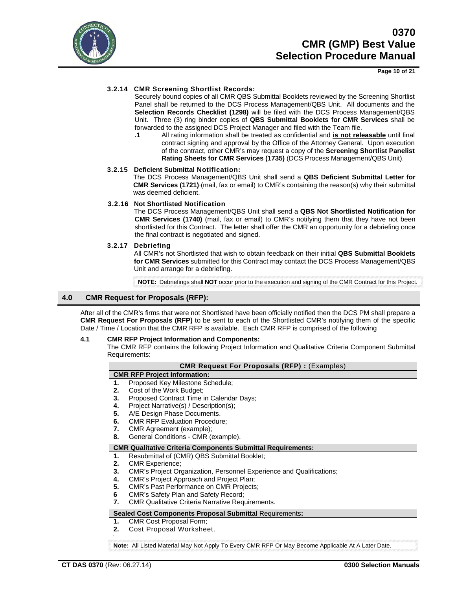

## **3.2.14 CMR Screening Shortlist Records:**

Securely bound copies of all CMR QBS Submittal Booklets reviewed by the Screening Shortlist Panel shall be returned to the DCS Process Management/QBS Unit. All documents and the **Selection Records Checklist (1298)** will be filed with the DCS Process Management/QBS Unit. Three (3) ring binder copies of **QBS Submittal Booklets for CMR Services** shall be forwarded to the assigned DCS Project Manager and filed with the Team file.

**.1** All rating information shall be treated as confidential and **is not releasable** until final contract signing and approval by the Office of the Attorney General. Upon execution of the contract, other CMR's may request a copy of the **Screening Shortlist Panelist Rating Sheets for CMR Services (1735)** (DCS Process Management/QBS Unit).

### **3.2.15 Deficient Submittal Notification:**

The DCS Process Management/QBS Unit shall send a **QBS Deficient Submittal Letter for CMR Services (1721)** (mail, fax or email) to CMR's containing the reason(s) why their submittal was deemed deficient.

### **3.2.16 Not Shortlisted Notification**

The DCS Process Management/QBS Unit shall send a **QBS Not Shortlisted Notification for CMR Services (1740)** (mail, fax or email) to CMR's notifying them that they have not been shortlisted for this Contract. The letter shall offer the CMR an opportunity for a debriefing once the final contract is negotiated and signed.

### **3.2.17 Debriefing**

All CMR's not Shortlisted that wish to obtain feedback on their initial **QBS Submittal Booklets for CMR Services** submitted for this Contract may contact the DCS Process Management/QBS Unit and arrange for a debriefing.

**NOTE:** Debriefings shall **NOT** occur prior to the execution and signing of the CMR Contract for this Project.

## **4.0 CMR Request for Proposals (RFP):**

After all of the CMR's firms that were not Shortlisted have been officially notified then the DCS PM shall prepare a **CMR Request For Proposals (RFP)** to be sent to each of the Shortlisted CMR's notifying them of the specific Date / Time / Location that the CMR RFP is available. Each CMR RFP is comprised of the following

### **4.1 CMR RFP Project Information and Components:**

The CMR RFP contains the following Project Information and Qualitative Criteria Component Submittal Requirements:

### **CMR Request For Proposals (RFP) :** (Examples)

## **CMR RFP Project Information:**

- **1.** Proposed Key Milestone Schedule;
- **2.** Cost of the Work Budget;
- **3.** Proposed Contract Time in Calendar Days;<br>**4.** Project Narrative(s) / Description(s):
- **4.** Project Narrative(s) / Description(s);
- **5.** A/E Design Phase Documents.<br>**6.** CMR RFP Evaluation Procedur
- **6.** CMR RFP Evaluation Procedure;<br>**7.** CMR Agreement (example):
- **7.** CMR Agreement (example);
- **8.** General Conditions CMR (example).

### **CMR Qualitative Criteria Components Submittal Requirements:**

- **1.** Resubmittal of (CMR) QBS Submittal Booklet;
- **2.** CMR Experience;
- **3.** CMR's Project Organization, Personnel Experience and Qualifications;
- **4.** CMR's Project Approach and Project Plan;
- **5.** CMR's Past Performance on CMR Projects;
- **6** CMR's Safety Plan and Safety Record;
- **7.** CMR Qualitative Criteria Narrative Requirements.

### **Sealed Cost Components Proposal Submittal** Requirements**:**

- **1.** CMR Cost Proposal Form;
- **2.** Cost Proposal Worksheet.

**Note:** All Listed Material May Not Apply To Every CMR RFP Or May Become Applicable At A Later Date.

**.**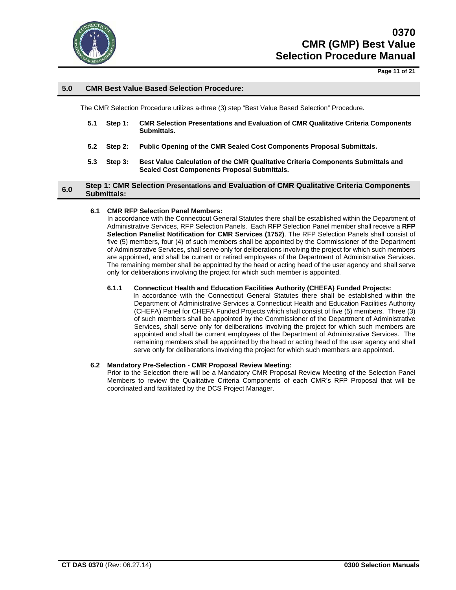

**Page 11 of 21**

## **5.0 CMR Best Value Based Selection Procedure:**

The CMR Selection Procedure utilizes a three (3) step "Best Value Based Selection" Procedure.

- **5.1 Step 1: CMR Selection Presentations and Evaluation of CMR Qualitative Criteria Components Submittals.**
- **5.2 Step 2: Public Opening of the CMR Sealed Cost Components Proposal Submittals.**
- **5.3 Step 3: Best Value Calculation of the CMR Qualitative Criteria Components Submittals and Sealed Cost Components Proposal Submittals.**

### **6.0 Step 1: CMR Selection Presentations and Evaluation of CMR Qualitative Criteria Components Submittals:**

#### **6.1 CMR RFP Selection Panel Members:**

In accordance with the Connecticut General Statutes there shall be established within the Department of Administrative Services, RFP Selection Panels. Each RFP Selection Panel member shall receive a **RFP Selection Panelist Notification for CMR Services (1752)**. The RFP Selection Panels shall consist of five (5) members, four (4) of such members shall be appointed by the Commissioner of the Department of Administrative Services, shall serve only for deliberations involving the project for which such members are appointed, and shall be current or retired employees of the Department of Administrative Services. The remaining member shall be appointed by the head or acting head of the user agency and shall serve only for deliberations involving the project for which such member is appointed.

#### **6.1.1 Connecticut Health and Education Facilities Authority (CHEFA) Funded Projects:**

In accordance with the Connecticut General Statutes there shall be established within the Department of Administrative Services a Connecticut Health and Education Facilities Authority (CHEFA) Panel for CHEFA Funded Projects which shall consist of five (5) members. Three (3) of such members shall be appointed by the Commissioner of the Department of Administrative Services, shall serve only for deliberations involving the project for which such members are appointed and shall be current employees of the Department of Administrative Services. The remaining members shall be appointed by the head or acting head of the user agency and shall serve only for deliberations involving the project for which such members are appointed.

#### **6.2 Mandatory Pre-Selection - CMR Proposal Review Meeting:**

Prior to the Selection there will be a Mandatory CMR Proposal Review Meeting of the Selection Panel Members to review the Qualitative Criteria Components of each CMR's RFP Proposal that will be coordinated and facilitated by the DCS Project Manager.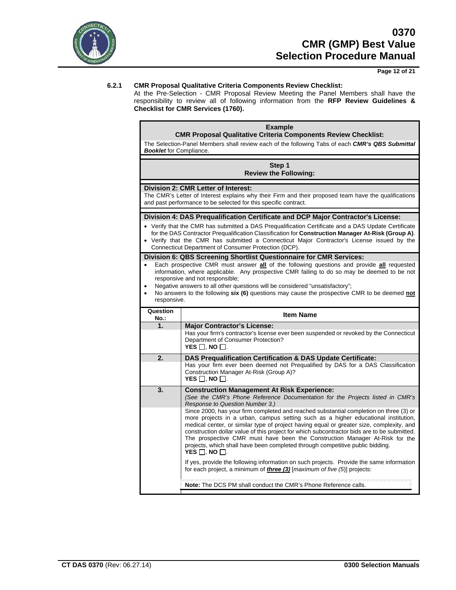

**Page 12 of 21**

### **6.2.1 CMR Proposal Qualitative Criteria Components Review Checklist:**

At the Pre-Selection - CMR Proposal Review Meeting the Panel Members shall have the responsibility to review all of following information from the **RFP Review Guidelines & Checklist for CMR Services (1760).**

## **Example**

**CMR Proposal Qualitative Criteria Components Review Checklist:** The Selection Panel Members shall review each of the following Tabs of each *CMR's QBS Submittal Booklet* for Compliance.

#### **Step 1 Review the Following:**

#### **Division 2: CMR Letter of Interest:**

The CMR's Letter of Interest explains why their Firm and their proposed team have the qualifications and past performance to be selected for this specific contract.

#### **Division 4: DAS Prequalification Certificate and DCP Major Contractor's License:**

- Verify that the CMR has submitted a DAS Prequalification Certificate and a DAS Update Certificate for the DAS Contractor Prequalification Classification for **Construction Manager At-Risk (Group A)**.
- Verify that the CMR has submitted a Connecticut Major Contractor's License issued by the Connecticut Department of Consumer Protection (DCP).

#### **Division 6: QBS Screening Shortlist Questionnaire for CMR Services:**

- Each prospective CMR must answer **all** of the following questions and provide **all** requested information, where applicable. Any prospective CMR failing to do so may be deemed to be not responsive and not responsible;
- Negative answers to all other questions will be considered "unsatisfactory";
- No answers to the following **six (6)** questions may cause the prospective CMR to be deemed **not** responsive.

| Question<br>$No.$ : | <b>Item Name</b>                                                                                                                                                                                                                                                                                                                                                                                                                                                                                                                                                          |
|---------------------|---------------------------------------------------------------------------------------------------------------------------------------------------------------------------------------------------------------------------------------------------------------------------------------------------------------------------------------------------------------------------------------------------------------------------------------------------------------------------------------------------------------------------------------------------------------------------|
| 1.                  | <b>Major Contractor's License:</b>                                                                                                                                                                                                                                                                                                                                                                                                                                                                                                                                        |
|                     | Has your firm's contractor's license ever been suspended or revoked by the Connecticut<br>Department of Consumer Protection?<br>YES $\Box$ . NO $\Box$ .                                                                                                                                                                                                                                                                                                                                                                                                                  |
| 2.                  | DAS Prequalification Certification & DAS Update Certificate:                                                                                                                                                                                                                                                                                                                                                                                                                                                                                                              |
|                     | Has your firm ever been deemed not Prequalified by DAS for a DAS Classification                                                                                                                                                                                                                                                                                                                                                                                                                                                                                           |
|                     | Construction Manager At-Risk (Group A)?<br>YES $\Box$ . No $\Box$ .                                                                                                                                                                                                                                                                                                                                                                                                                                                                                                       |
|                     |                                                                                                                                                                                                                                                                                                                                                                                                                                                                                                                                                                           |
| 3.                  | <b>Construction Management At Risk Experience:</b><br>(See the CMR's Phone Reference Documentation for the Projects listed in CMR's                                                                                                                                                                                                                                                                                                                                                                                                                                       |
|                     | Response to Question Number 3.)                                                                                                                                                                                                                                                                                                                                                                                                                                                                                                                                           |
|                     | Since 2000, has your firm completed and reached substantial completion on three (3) or<br>more projects in a urban, campus setting such as a higher educational institution,<br>medical center, or similar type of project having equal or greater size, complexity, and<br>construction dollar value of this project for which subcontractor bids are to be submitted.<br>The prospective CMR must have been the Construction Manager At-Risk for the<br>projects, which shall have been completed through competitive public bidding.<br>YES $\square$ . NO $\square$ . |
|                     | If yes, provide the following information on such projects. Provide the same information<br>for each project, a minimum of <b>three (3)</b> [maximum of five $(5)$ ] projects:                                                                                                                                                                                                                                                                                                                                                                                            |
|                     | <b>Note:</b> The DCS PM shall conduct the CMR's Phone Reference calls.                                                                                                                                                                                                                                                                                                                                                                                                                                                                                                    |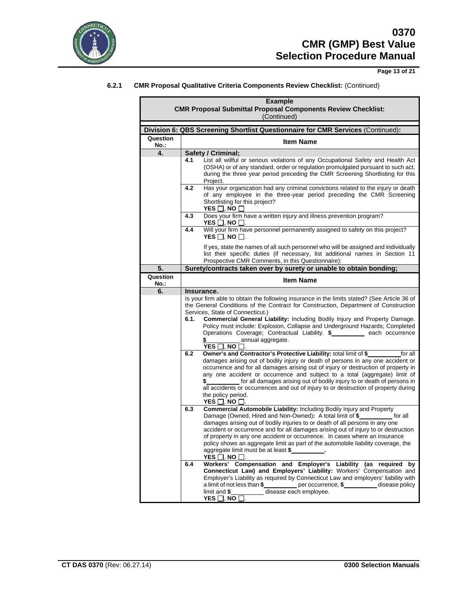

ř.

**Page 13 of 21**

## **6.2.1 CMR Proposal Qualitative Criteria Components Review Checklist:** (Continued)

| <b>Example</b><br><b>CMR Proposal Submittal Proposal Components Review Checklist:</b> |                                                                                                                                                                                                                                                                                                                                                                                                                                                                                                                                                                                                                                                                                                                                                                                                                                                                                                                                                                                                                                                                         |  |
|---------------------------------------------------------------------------------------|-------------------------------------------------------------------------------------------------------------------------------------------------------------------------------------------------------------------------------------------------------------------------------------------------------------------------------------------------------------------------------------------------------------------------------------------------------------------------------------------------------------------------------------------------------------------------------------------------------------------------------------------------------------------------------------------------------------------------------------------------------------------------------------------------------------------------------------------------------------------------------------------------------------------------------------------------------------------------------------------------------------------------------------------------------------------------|--|
| (Continued)                                                                           |                                                                                                                                                                                                                                                                                                                                                                                                                                                                                                                                                                                                                                                                                                                                                                                                                                                                                                                                                                                                                                                                         |  |
|                                                                                       | Division 6: QBS Screening Shortlist Questionnaire for CMR Services (Continued):                                                                                                                                                                                                                                                                                                                                                                                                                                                                                                                                                                                                                                                                                                                                                                                                                                                                                                                                                                                         |  |
| Question<br>No.:                                                                      | <b>Item Name</b>                                                                                                                                                                                                                                                                                                                                                                                                                                                                                                                                                                                                                                                                                                                                                                                                                                                                                                                                                                                                                                                        |  |
| 4.                                                                                    | Safety / Criminal;                                                                                                                                                                                                                                                                                                                                                                                                                                                                                                                                                                                                                                                                                                                                                                                                                                                                                                                                                                                                                                                      |  |
|                                                                                       | List all willful or serious violations of any Occupational Safety and Health Act<br>4.1<br>(OSHA) or of any standard, order or regulation promulgated pursuant to such act,<br>during the three year period preceding the CMR Screening Shortlisting for this<br>Project.                                                                                                                                                                                                                                                                                                                                                                                                                                                                                                                                                                                                                                                                                                                                                                                               |  |
|                                                                                       | 4.2<br>Has your organization had any criminal convictions related to the injury or death<br>of any employee in the three-year period preceding the CMR Screening<br>Shortlisting for this project?<br>YES $\Box$ , NO $\Box$                                                                                                                                                                                                                                                                                                                                                                                                                                                                                                                                                                                                                                                                                                                                                                                                                                            |  |
|                                                                                       | Does your firm have a written injury and illness prevention program?<br>4.3<br>YES $\square$ , no $\square$ .                                                                                                                                                                                                                                                                                                                                                                                                                                                                                                                                                                                                                                                                                                                                                                                                                                                                                                                                                           |  |
|                                                                                       | Will your firm have personnel permanently assigned to safety on this project?<br>4.4<br>YES $\Box$ . No $\Box$ .                                                                                                                                                                                                                                                                                                                                                                                                                                                                                                                                                                                                                                                                                                                                                                                                                                                                                                                                                        |  |
|                                                                                       | If yes, state the names of all such personnel who will be assigned and individually<br>list their specific duties (if necessary, list additional names in Section 11<br>Prospective CMR Comments, in this Questionnaire):                                                                                                                                                                                                                                                                                                                                                                                                                                                                                                                                                                                                                                                                                                                                                                                                                                               |  |
| 5.                                                                                    | Surety/contracts taken over by surety or unable to obtain bonding;                                                                                                                                                                                                                                                                                                                                                                                                                                                                                                                                                                                                                                                                                                                                                                                                                                                                                                                                                                                                      |  |
| Question<br>No.:                                                                      | <b>Item Name</b>                                                                                                                                                                                                                                                                                                                                                                                                                                                                                                                                                                                                                                                                                                                                                                                                                                                                                                                                                                                                                                                        |  |
| 6.                                                                                    | Insurance.                                                                                                                                                                                                                                                                                                                                                                                                                                                                                                                                                                                                                                                                                                                                                                                                                                                                                                                                                                                                                                                              |  |
|                                                                                       | Is your firm able to obtain the following insurance in the limits stated? (See Article 36 of<br>the General Conditions of the Contract for Construction, Department of Construction<br>Services, State of Connecticut.)<br>Commercial General Liability: Including Bodily Injury and Property Damage.<br>6.1.<br>Policy must include: Explosion, Collapse and Underground Hazards; Completed<br>Operations Coverage; Contractual Liability. \$__________ each occurrence<br>annual aggregate.<br>\$<br>YES 冂. NO 冂.<br>Owner's and Contractor's Protective Liability: total limit of \$<br>6.2<br>for all<br>damages arising out of bodily injury or death of persons in any one accident or<br>occurrence and for all damages arising out of injury or destruction of property in<br>any one accident or occurrence and subject to a total (aggregate) limit of<br>for all damages arising out of bodily injury to or death of persons in<br>all accidents or occurrences and out of injury to or destruction of property during<br>the policy period.<br>YES ∐, NO ∐. |  |
|                                                                                       | Commercial Automobile Liability: Including Bodily Injury and Property<br>6.3<br>Damage (Owned, Hired and Non-Owned): A total limit of \$_<br>for all<br>damages arising out of bodily injuries to or death of all persons in any one<br>accident or occurrence and for all damages arising out of injury to or destruction<br>of property in any one accident or occurrence. In cases where an insurance<br>policy shows an aggregate limit as part of the automobile liability coverage, the<br>aggregate limit must be at least \$<br>YES 冂. NO 冂.<br>Workers' Compensation and Employer's Liability (as required<br>6.4<br>by<br>Connecticut Law) and Employers' Liability: Workers' Compensation and<br>Employer's Liability as required by Connecticut Law and employers' liability with<br>a limit of not less than \$____________ per occurrence, \$___________ disease policy<br>limit and \$ disease each employee.<br>YES $\Box$ , NO $\overline{\Box}$ .                                                                                                     |  |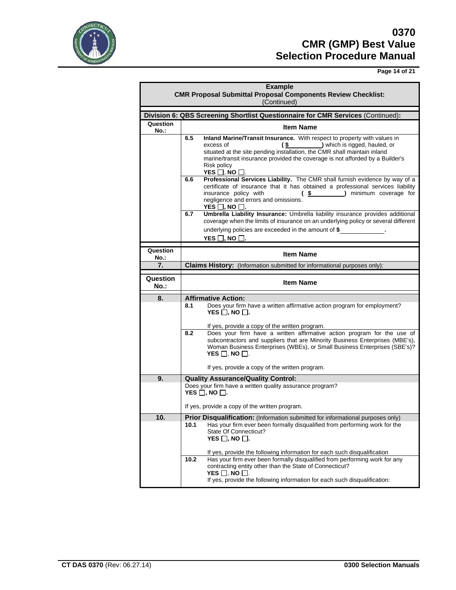

**Page 14 of 21**

|                  | <b>Example</b><br><b>CMR Proposal Submittal Proposal Components Review Checklist:</b><br>(Continued)                                                                                                                                                                                                                                                                        |
|------------------|-----------------------------------------------------------------------------------------------------------------------------------------------------------------------------------------------------------------------------------------------------------------------------------------------------------------------------------------------------------------------------|
|                  | Division 6: QBS Screening Shortlist Questionnaire for CMR Services (Continued):                                                                                                                                                                                                                                                                                             |
| Question<br>No.: | <b>Item Name</b>                                                                                                                                                                                                                                                                                                                                                            |
|                  | 6.5<br>Inland Marine/Transit Insurance. With respect to property with values in<br>$(\frac{2}{3}) which is rigid, haud, or$<br>excess of<br>situated at the site pending installation, the CMR shall maintain inland<br>marine/transit insurance provided the coverage is not afforded by a Builder's<br>Risk policy<br>YES $\Box$ , NO $\Box$                              |
|                  | Professional Services Liability. The CMR shall furnish evidence by way of a<br>6.6<br>certificate of insurance that it has obtained a professional services liability<br>insurance policy with<br>(\$) minimum coverage for<br>negligence and errors and omissions.<br>YES $\Box$ , NO $\Box$ .                                                                             |
|                  | Umbrella Liability Insurance: Umbrella liability insurance provides additional<br>6.7<br>coverage when the limits of insurance on an underlying policy or several different<br>underlying policies are exceeded in the amount of \$<br>YES $\Box$ , NO $\Box$ .                                                                                                             |
| Question         | <b>Item Name</b>                                                                                                                                                                                                                                                                                                                                                            |
| No.:<br>7.       | Claims History: (Information submitted for informational purposes only):                                                                                                                                                                                                                                                                                                    |
|                  |                                                                                                                                                                                                                                                                                                                                                                             |
| Question<br>No.: | <b>Item Name</b>                                                                                                                                                                                                                                                                                                                                                            |
| 8.               | <b>Affirmative Action:</b>                                                                                                                                                                                                                                                                                                                                                  |
|                  | Does your firm have a written affirmative action program for employment?<br>8.1<br>YES $\Box$ , NO $\Box$ .                                                                                                                                                                                                                                                                 |
|                  | If yes, provide a copy of the written program.<br>Does your firm have a written affirmative action program for the use of<br>8.2<br>subcontractors and suppliers that are Minority Business Enterprises (MBE's),<br>Woman Business Enterprises (WBEs), or Small Business Enterprises (SBE's)?<br>YES $\Box$ , NO $\Box$ .<br>If yes, provide a copy of the written program. |
| 9.               | <b>Quality Assurance/Quality Control:</b>                                                                                                                                                                                                                                                                                                                                   |
|                  | Does your firm have a written quality assurance program?<br>YES $\Box$ , NO $\Box$ .                                                                                                                                                                                                                                                                                        |
|                  |                                                                                                                                                                                                                                                                                                                                                                             |
|                  | If yes, provide a copy of the written program.                                                                                                                                                                                                                                                                                                                              |
| 10.              | Prior Disqualification: (Information submitted for informational purposes only)                                                                                                                                                                                                                                                                                             |
|                  | Has your firm ever been formally disqualified from performing work for the<br>10.1<br>State Of Connecticut?<br>YES $\Box$ , NO $\Box$ .                                                                                                                                                                                                                                     |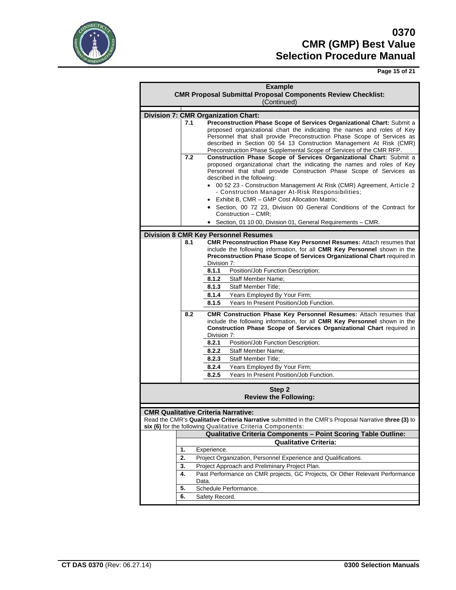

**Page 15 of 21**

| <b>Example</b><br><b>CMR Proposal Submittal Proposal Components Review Checklist:</b><br>(Continued) |                                                                                                                                                                                                                                                                                                                                                                                                                                                                                                                                                                                                                |                                                                                                                                                                                                                                                     |  |  |  |  |  |
|------------------------------------------------------------------------------------------------------|----------------------------------------------------------------------------------------------------------------------------------------------------------------------------------------------------------------------------------------------------------------------------------------------------------------------------------------------------------------------------------------------------------------------------------------------------------------------------------------------------------------------------------------------------------------------------------------------------------------|-----------------------------------------------------------------------------------------------------------------------------------------------------------------------------------------------------------------------------------------------------|--|--|--|--|--|
|                                                                                                      |                                                                                                                                                                                                                                                                                                                                                                                                                                                                                                                                                                                                                |                                                                                                                                                                                                                                                     |  |  |  |  |  |
|                                                                                                      | <b>Division 7: CMR Organization Chart:</b><br>7.1<br>Preconstruction Phase Scope of Services Organizational Chart: Submit a<br>proposed organizational chart the indicating the names and roles of Key<br>Personnel that shall provide Preconstruction Phase Scope of Services as<br>described in Section 00 54 13 Construction Management At Risk (CMR)<br>Preconstruction Phase Supplemental Scope of Services of the CMR RFP.                                                                                                                                                                               |                                                                                                                                                                                                                                                     |  |  |  |  |  |
|                                                                                                      | 7.2<br>Construction Phase Scope of Services Organizational Chart: Submit a<br>proposed organizational chart the indicating the names and roles of Key<br>Personnel that shall provide Construction Phase Scope of Services as<br>described in the following:<br>00 52 23 - Construction Management At Risk (CMR) Agreement, Article 2<br>- Construction Manager At-Risk Responsibilities;<br>• Exhibit B, CMR - GMP Cost Allocation Matrix;<br>· Section, 00 72 23, Division 00 General Conditions of the Contract for<br>Construction - CMR:<br>• Section, 01 10 00, Division 01, General Requirements - CMR. |                                                                                                                                                                                                                                                     |  |  |  |  |  |
|                                                                                                      |                                                                                                                                                                                                                                                                                                                                                                                                                                                                                                                                                                                                                | <b>Division 8 CMR Key Personnel Resumes</b>                                                                                                                                                                                                         |  |  |  |  |  |
|                                                                                                      | 8.1                                                                                                                                                                                                                                                                                                                                                                                                                                                                                                                                                                                                            | <b>CMR Preconstruction Phase Key Personnel Resumes: Attach resumes that</b><br>include the following information, for all CMR Key Personnel shown in the<br>Preconstruction Phase Scope of Services Organizational Chart required in<br>Division 7: |  |  |  |  |  |
|                                                                                                      |                                                                                                                                                                                                                                                                                                                                                                                                                                                                                                                                                                                                                | Position/Job Function Description;<br>8.1.1                                                                                                                                                                                                         |  |  |  |  |  |
|                                                                                                      |                                                                                                                                                                                                                                                                                                                                                                                                                                                                                                                                                                                                                | 8.1.2<br><b>Staff Member Name:</b>                                                                                                                                                                                                                  |  |  |  |  |  |
|                                                                                                      |                                                                                                                                                                                                                                                                                                                                                                                                                                                                                                                                                                                                                | <b>Staff Member Title:</b><br>8.1.3                                                                                                                                                                                                                 |  |  |  |  |  |
|                                                                                                      |                                                                                                                                                                                                                                                                                                                                                                                                                                                                                                                                                                                                                | 8.1.4<br>Years Employed By Your Firm;                                                                                                                                                                                                               |  |  |  |  |  |
|                                                                                                      |                                                                                                                                                                                                                                                                                                                                                                                                                                                                                                                                                                                                                | Years In Present Position/Job Function.<br>8.1.5                                                                                                                                                                                                    |  |  |  |  |  |
|                                                                                                      | 8.2                                                                                                                                                                                                                                                                                                                                                                                                                                                                                                                                                                                                            | <b>CMR Construction Phase Key Personnel Resumes:</b> Attach resumes that<br>include the following information, for all CMR Key Personnel shown in the<br>Construction Phase Scope of Services Organizational Chart required in<br>Division 7:       |  |  |  |  |  |
|                                                                                                      |                                                                                                                                                                                                                                                                                                                                                                                                                                                                                                                                                                                                                | 8.2.1<br>Position/Job Function Description;                                                                                                                                                                                                         |  |  |  |  |  |
|                                                                                                      |                                                                                                                                                                                                                                                                                                                                                                                                                                                                                                                                                                                                                |                                                                                                                                                                                                                                                     |  |  |  |  |  |
|                                                                                                      |                                                                                                                                                                                                                                                                                                                                                                                                                                                                                                                                                                                                                | 8.2.2<br><b>Staff Member Name:</b>                                                                                                                                                                                                                  |  |  |  |  |  |
|                                                                                                      |                                                                                                                                                                                                                                                                                                                                                                                                                                                                                                                                                                                                                | 8.2.3<br><b>Staff Member Title:</b>                                                                                                                                                                                                                 |  |  |  |  |  |
|                                                                                                      |                                                                                                                                                                                                                                                                                                                                                                                                                                                                                                                                                                                                                | 8.2.4<br>Years Employed By Your Firm;                                                                                                                                                                                                               |  |  |  |  |  |
|                                                                                                      |                                                                                                                                                                                                                                                                                                                                                                                                                                                                                                                                                                                                                | Years In Present Position/Job Function.<br>8.2.5                                                                                                                                                                                                    |  |  |  |  |  |
|                                                                                                      |                                                                                                                                                                                                                                                                                                                                                                                                                                                                                                                                                                                                                | Step 2<br><b>Review the Following:</b>                                                                                                                                                                                                              |  |  |  |  |  |
|                                                                                                      |                                                                                                                                                                                                                                                                                                                                                                                                                                                                                                                                                                                                                | <b>CMR Qualitative Criteria Narrative:</b>                                                                                                                                                                                                          |  |  |  |  |  |
|                                                                                                      |                                                                                                                                                                                                                                                                                                                                                                                                                                                                                                                                                                                                                | Read the CMR's Qualitative Criteria Narrative submitted in the CMR's Proposal Narrative three (3) to<br>six (6) for the following Qualitative Criteria Components:                                                                                  |  |  |  |  |  |
|                                                                                                      |                                                                                                                                                                                                                                                                                                                                                                                                                                                                                                                                                                                                                | Qualitative Criteria Components - Point Scoring Table Outline:                                                                                                                                                                                      |  |  |  |  |  |
|                                                                                                      |                                                                                                                                                                                                                                                                                                                                                                                                                                                                                                                                                                                                                | <b>Qualitative Criteria:</b>                                                                                                                                                                                                                        |  |  |  |  |  |
|                                                                                                      | 1.                                                                                                                                                                                                                                                                                                                                                                                                                                                                                                                                                                                                             | Experience.                                                                                                                                                                                                                                         |  |  |  |  |  |
|                                                                                                      | 2.                                                                                                                                                                                                                                                                                                                                                                                                                                                                                                                                                                                                             | Project Organization, Personnel Experience and Qualifications.                                                                                                                                                                                      |  |  |  |  |  |
|                                                                                                      | 3.                                                                                                                                                                                                                                                                                                                                                                                                                                                                                                                                                                                                             | Project Approach and Preliminary Project Plan.                                                                                                                                                                                                      |  |  |  |  |  |
|                                                                                                      | 4.<br>Data.                                                                                                                                                                                                                                                                                                                                                                                                                                                                                                                                                                                                    | Past Performance on CMR projects, GC Projects, Or Other Relevant Performance                                                                                                                                                                        |  |  |  |  |  |
|                                                                                                      | 5.                                                                                                                                                                                                                                                                                                                                                                                                                                                                                                                                                                                                             | Schedule Performance.                                                                                                                                                                                                                               |  |  |  |  |  |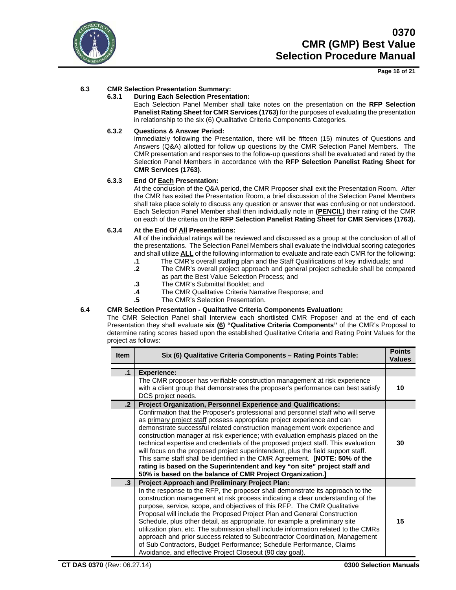

**Page 16 of 21**

## **6.3 CMR Selection Presentation Summary:**

## **6.3.1 During Each Selection Presentation:**

Each Selection Panel Member shall take notes on the presentation on the **RFP Selection Panelist Rating Sheet for CMR Services (1763)** for the purposes of evaluating the presentation in relationship to the six (6) Qualitative Criteria Components Categories.

## **6.3.2 Questions & Answer Period:**

Immediately following the Presentation, there will be fifteen (15) minutes of Questions and Answers (Q&A) allotted for follow up questions by the CMR Selection Panel Members. The CMR presentation and responses to the follow-up questions shall be evaluated and rated by the Selection Panel Members in accordance with the **RFP Selection Panelist Rating Sheet for CMR Services (1763)**.

### **6.3.3 End Of Each Presentation:**

At the conclusion of the Q&A period, the CMR Proposer shall exit the Presentation Room. After the CMR has exited the Presentation Room, a brief discussion of the Selection Panel Members shall take place solely to discuss any question or answer that was confusing or not understood. Each Selection Panel Member shall then individually note in **(PENCIL)** their rating of the CMR on each of the criteria on the **RFP Selection Panelist Rating Sheet for CMR Services (1763).**

## **6.3.4 At the End Of All Presentations:**

All of the individual ratings will be reviewed and discussed as a group at the conclusion of all of the presentations. The Selection Panel Members shall evaluate the individual scoring categories and shall utilize **ALL** of the following information to evaluate and rate each CMR for the following:

- **.1** The CMR's overall staffing plan and the Staff Qualifications of key individuals; and
- **.2** The CMR's overall project approach and general project schedule shall be compared as part the Best Value Selection Process; and
- **.3** The CMR's Submittal Booklet; and
- **.4** The CMR Qualitative Criteria Narrative Response; and
- **.5** The CMR's Selection Presentation.

### **6.4 CMR Selection Presentation - Qualitative Criteria Components Evaluation:**

The CMR Selection Panel shall Interview each shortlisted CMR Proposer and at the end of each Presentation they shall evaluate **six (6) "Qualitative Criteria Components"** of the CMR's Proposal to determine rating scores based upon the established Qualitative Criteria and Rating Point Values for the project as follows:

| <b>Item</b> | Six (6) Qualitative Criteria Components - Rating Points Table:                                                                                                                                                                                                                                                                                                                                                                                                                                                                                                                                                                                                                                                                  | <b>Points</b><br><b>Values</b> |
|-------------|---------------------------------------------------------------------------------------------------------------------------------------------------------------------------------------------------------------------------------------------------------------------------------------------------------------------------------------------------------------------------------------------------------------------------------------------------------------------------------------------------------------------------------------------------------------------------------------------------------------------------------------------------------------------------------------------------------------------------------|--------------------------------|
| .1          | <b>Experience:</b>                                                                                                                                                                                                                                                                                                                                                                                                                                                                                                                                                                                                                                                                                                              |                                |
|             | The CMR proposer has verifiable construction management at risk experience<br>with a client group that demonstrates the proposer's performance can best satisfy<br>DCS project needs.                                                                                                                                                                                                                                                                                                                                                                                                                                                                                                                                           | 10                             |
| $\cdot$ 2   | Project Organization, Personnel Experience and Qualifications:                                                                                                                                                                                                                                                                                                                                                                                                                                                                                                                                                                                                                                                                  |                                |
|             | Confirmation that the Proposer's professional and personnel staff who will serve<br>as primary project staff possess appropriate project experience and can<br>demonstrate successful related construction management work experience and<br>construction manager at risk experience; with evaluation emphasis placed on the<br>technical expertise and credentials of the proposed project staff. This evaluation<br>will focus on the proposed project superintendent, plus the field support staff.<br>This same staff shall be identified in the CMR Agreement. [NOTE: 50% of the<br>rating is based on the Superintendent and key "on site" project staff and<br>50% is based on the balance of CMR Project Organization.] | 30                             |
| $\cdot$ 3   | <b>Project Approach and Preliminary Project Plan:</b>                                                                                                                                                                                                                                                                                                                                                                                                                                                                                                                                                                                                                                                                           |                                |
|             | In the response to the RFP, the proposer shall demonstrate its approach to the<br>construction management at risk process indicating a clear understanding of the<br>purpose, service, scope, and objectives of this RFP. The CMR Qualitative<br>Proposal will include the Proposed Project Plan and General Construction<br>Schedule, plus other detail, as appropriate, for example a preliminary site<br>utilization plan, etc. The submission shall include information related to the CMRs<br>approach and prior success related to Subcontractor Coordination, Management<br>of Sub Contractors, Budget Performance; Schedule Performance, Claims<br>Avoidance, and effective Project Closeout (90 day goal).             | 15                             |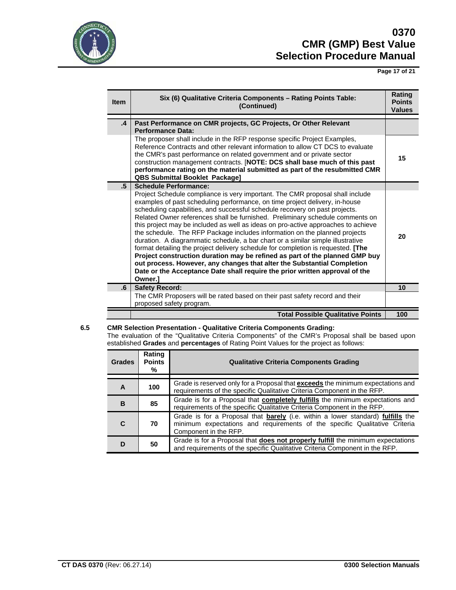

**Page 17 of 21**

| <b>Item</b>      | Six (6) Qualitative Criteria Components - Rating Points Table:<br>(Continued)                                                                                                                                                                                                                                                                                                                                                                                                                                                                                                                                                                                                                                                                                                                                                                                                                                              | Rating<br><b>Points</b><br><b>Values</b> |
|------------------|----------------------------------------------------------------------------------------------------------------------------------------------------------------------------------------------------------------------------------------------------------------------------------------------------------------------------------------------------------------------------------------------------------------------------------------------------------------------------------------------------------------------------------------------------------------------------------------------------------------------------------------------------------------------------------------------------------------------------------------------------------------------------------------------------------------------------------------------------------------------------------------------------------------------------|------------------------------------------|
| $\cdot$          | Past Performance on CMR projects, GC Projects, Or Other Relevant<br><b>Performance Data:</b>                                                                                                                                                                                                                                                                                                                                                                                                                                                                                                                                                                                                                                                                                                                                                                                                                               |                                          |
|                  | The proposer shall include in the RFP response specific Project Examples,<br>Reference Contracts and other relevant information to allow CT DCS to evaluate<br>the CMR's past performance on related government and or private sector<br>construction management contracts. [NOTE: DCS shall base much of this past<br>performance rating on the material submitted as part of the resubmitted CMR<br><b>QBS Submittal Booklet Package]</b>                                                                                                                                                                                                                                                                                                                                                                                                                                                                                | 15                                       |
| $.5\overline{ }$ | <b>Schedule Performance:</b>                                                                                                                                                                                                                                                                                                                                                                                                                                                                                                                                                                                                                                                                                                                                                                                                                                                                                               |                                          |
|                  | Project Schedule compliance is very important. The CMR proposal shall include<br>examples of past scheduling performance, on time project delivery, in-house<br>scheduling capabilities, and successful schedule recovery on past projects.<br>Related Owner references shall be furnished. Preliminary schedule comments on<br>this project may be included as well as ideas on pro-active approaches to achieve<br>the schedule. The RFP Package includes information on the planned projects<br>duration. A diagrammatic schedule, a bar chart or a similar simple illustrative<br>format detailing the project delivery schedule for completion is requested. [The<br>Project construction duration may be refined as part of the planned GMP buy<br>out process. However, any changes that alter the Substantial Completion<br>Date or the Acceptance Date shall require the prior written approval of the<br>Owner.1 | 20                                       |
| .6               | <b>Safety Record:</b>                                                                                                                                                                                                                                                                                                                                                                                                                                                                                                                                                                                                                                                                                                                                                                                                                                                                                                      | 10                                       |
|                  | The CMR Proposers will be rated based on their past safety record and their<br>proposed safety program.                                                                                                                                                                                                                                                                                                                                                                                                                                                                                                                                                                                                                                                                                                                                                                                                                    |                                          |
|                  | <b>Total Possible Qualitative Points</b>                                                                                                                                                                                                                                                                                                                                                                                                                                                                                                                                                                                                                                                                                                                                                                                                                                                                                   | 100                                      |

## **6.5 CMR Selection Presentation - Qualitative Criteria Components Grading:**

The evaluation of the "Qualitative Criteria Components" of the CMR's Proposal shall be based upon established **Grades** and **percentages** of Rating Point Values for the project as follows:

| <b>Grades</b> | Rating<br><b>Points</b><br>% | <b>Qualitative Criteria Components Grading</b>                                                                                                                                         |  |  |  |
|---------------|------------------------------|----------------------------------------------------------------------------------------------------------------------------------------------------------------------------------------|--|--|--|
|               |                              |                                                                                                                                                                                        |  |  |  |
| A             | 100                          | Grade is reserved only for a Proposal that exceeds the minimum expectations and<br>requirements of the specific Qualitative Criteria Component in the RFP.                             |  |  |  |
| B             | 85                           | Grade is for a Proposal that <b>completely fulfills</b> the minimum expectations and<br>requirements of the specific Qualitative Criteria Component in the RFP.                        |  |  |  |
| C             | 70                           | Grade is for a Proposal that barely (i.e. within a lower standard) fulfills the<br>minimum expectations and requirements of the specific Qualitative Criteria<br>Component in the RFP. |  |  |  |
|               | 50                           | Grade is for a Proposal that <b>does not properly fulfill</b> the minimum expectations<br>and requirements of the specific Qualitative Criteria Component in the RFP.                  |  |  |  |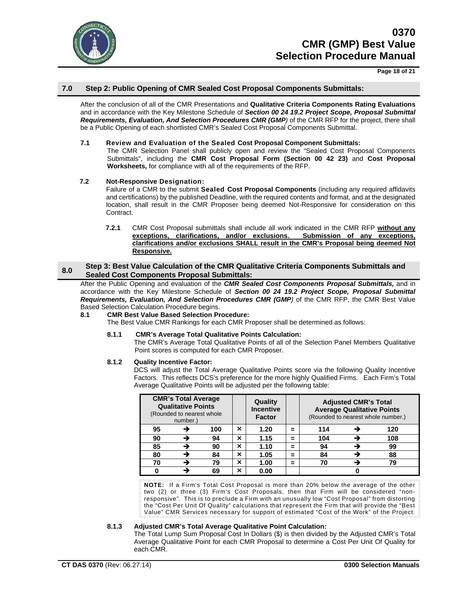

**Page 18 of 21**

## **7.0 Step 2: Public Opening of CMR Sealed Cost Proposal Components Submittals:**

After the conclusion of all of the CMR Presentations and **Qualitative Criteria Components Rating Evaluations** and in accordance with the Key Milestone Schedule of *Section 00 24 19.2 Project Scope, Proposal Submittal Requirements, Evaluation, And Selection Procedures CMR (GMP)* of the CMR RFP for the project, there shall be a Public Opening of each shortlisted CMR's Sealed Cost Proposal Components Submittal.

## **7.1 Review and Evaluation of the Sealed Cost Proposal Component Submittals:**

The CMR Selection Panel shall publicly open and review the "Sealed Cost Proposal Components Submittals", including the **CMR Cost Proposal Form (Section 00 42 23)** and **Cost Proposal Worksheets,** for compliance with all of the requirements of the RFP.

## **7.2 Not-Responsive Designation:**

Failure of a CMR to the submit **Sealed Cost Proposal Components** (including any required affidavits and certifications) by the published Deadline, with the required contents and format, and at the designated location, shall result in the CMR Proposer being deemed Not-Responsive for consideration on this Contract.

**7.2.1** CMR Cost Proposal submittals shall include all work indicated in the CMR RFP **without any exceptions, clarifications, and/or exclusions. Submission of any exceptions, clarifications and/or exclusions SHALL result in the CMR's Proposal being deemed Not Responsive.**

## **8.0 Step 3: Best Value Calculation of the CMR Qualitative Criteria Components Submittals and Sealed Cost Components Proposal Submittals:**

After the Public Opening and evaluation of the *CMR Sealed Cost Components Proposal Submittals,* and in accordance with the Key Milestone Schedule of *Section 00 24 19.2 Project Scope, Proposal Submittal Requirements, Evaluation, And Selection Procedures CMR (GMP)* of the CMR RFP, the CMR Best Value Based Selection Calculation Procedure begins.

### **8.1 CMR Best Value Based Selection Procedure:**

The Best Value CMR Rankings for each CMR Proposer shall be determined as follows:

### **8.1.1 CMR's Average Total Qualitative Points Calculation:**

The CMR's Average Total Qualitative Points of all of the Selection Panel Members Qualitative Point scores is computed for each CMR Proposer.

### **8.1.2 Quality Incentive Factor:**

DCS will adjust the Total Average Qualitative Points score via the following Quality Incentive Factors. This reflects DCS's preference for the more highly Qualified Firms. Each Firm's Total Average Qualitative Points will be adjusted per the following table:

|    | <b>CMR's Total Average</b><br><b>Qualitative Points</b><br>(Rounded to nearest whole<br>number.) |     |   | Quality<br><b>Incentive</b><br><b>Factor</b> |          | <b>Adjusted CMR's Total</b><br><b>Average Qualitative Points</b><br>(Rounded to nearest whole number.) |  |     |
|----|--------------------------------------------------------------------------------------------------|-----|---|----------------------------------------------|----------|--------------------------------------------------------------------------------------------------------|--|-----|
| 95 |                                                                                                  | 100 | × | 1.20                                         | ⋍        | 114                                                                                                    |  | 120 |
| 90 |                                                                                                  | 94  | × | 1.15                                         | ⋍        | 104                                                                                                    |  | 108 |
| 85 |                                                                                                  | 90  | × | 1.10                                         | $\equiv$ | 94                                                                                                     |  | 99  |
| 80 |                                                                                                  | 84  | × | 1.05                                         | $\equiv$ | 84                                                                                                     |  | 88  |
| 70 |                                                                                                  | 79  | × | 1.00                                         | ⋍        | 70                                                                                                     |  | 79  |
|    |                                                                                                  | 69  | × | 0.00                                         |          |                                                                                                        |  |     |

**NOTE:** If a Firm's Total Cost Proposal is more than 20% below the average of the other two (2) or three (3) Firm's Cost Proposals, then that Firm will be considered "nonresponsive". This is to preclude a Firm with an unusually low "Cost Proposal" from distorting the "Cost Per Unit Of Quality" calculations that represent the Firm that will provide the "Best Value" CMR Services necessary for support of estimated "Cost of the Work" of the Project.

### **8.1.3 Adjusted CMR's Total Average Qualitative Point Calculation:**

The Total Lump Sum Proposal Cost In Dollars (\$) is then divided by the Adjusted CMR's Total Average Qualitative Point for each CMR Proposal to determine a Cost Per Unit Of Quality for each CMR.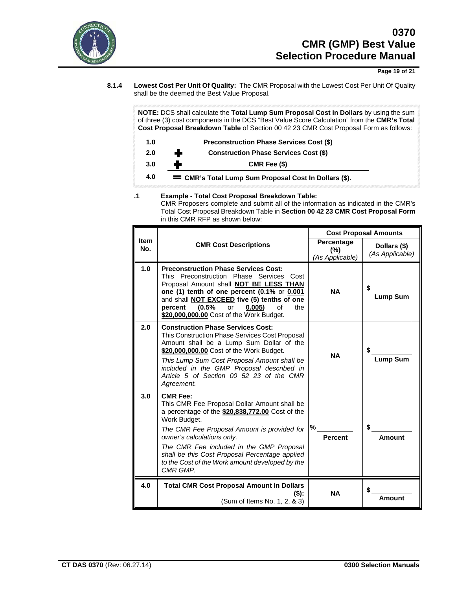

**Page 19 of 21**

**8.1.4 Lowest Cost Per Unit Of Quality:** The CMR Proposal with the Lowest Cost Per Unit Of Quality shall be the deemed the Best Value Proposal.

**NOTE:** DCS shall calculate the **Total Lump Sum Proposal Cost in Dollars** by using the sum of three (3) cost components in the DCS "Best Value Score Calculation" from the **CMR's Total Cost Proposal Breakdown Table** of Section 00 42 23 CMR Cost Proposal Form as follows:

| 1.0 | <b>Preconstruction Phase Services Cost (\$)</b>       |
|-----|-------------------------------------------------------|
| 2.0 | <b>Construction Phase Services Cost (\$)</b><br>÷     |
| 3.0 | CMR Fee (\$)                                          |
| 4.0 | = CMR's Total Lump Sum Proposal Cost In Dollars (\$). |

## **.1 Example - Total Cost Proposal Breakdown Table:**

CMR Proposers complete and submit all of the information as indicated in the CMR's Total Cost Proposal Breakdown Table in **Section 00 42 23 CMR Cost Proposal Form** in this CMR RFP as shown below:

|                    |                                                                                                                                                                                                                                                                                                                                                                              | <b>Cost Proposal Amounts</b>         |                                 |  |  |
|--------------------|------------------------------------------------------------------------------------------------------------------------------------------------------------------------------------------------------------------------------------------------------------------------------------------------------------------------------------------------------------------------------|--------------------------------------|---------------------------------|--|--|
| <b>Item</b><br>No. | <b>CMR Cost Descriptions</b>                                                                                                                                                                                                                                                                                                                                                 | Percentage<br>(%)<br>(As Applicable) | Dollars (\$)<br>(As Applicable) |  |  |
| 1.0                | <b>Preconstruction Phase Services Cost:</b><br>This Preconstruction Phase Services Cost<br>Proposal Amount shall NOT BE LESS THAN<br>one (1) tenth of one percent (0.1% or 0.001<br>and shall <b>NOT EXCEED</b> five (5) tenths of one<br>(0.5%<br>0.005<br>οf<br>the<br>percent<br>or<br>\$20,000,000.00 Cost of the Work Budget.                                           | <b>NA</b>                            | <b>Lump Sum</b>                 |  |  |
| 2.0                | <b>Construction Phase Services Cost:</b><br>This Construction Phase Services Cost Proposal<br>Amount shall be a Lump Sum Dollar of the<br>\$20,000,000.00 Cost of the Work Budget.<br>This Lump Sum Cost Proposal Amount shall be<br>included in the GMP Proposal described in<br>Article 5 of Section 00 52 23 of the CMR<br>Agreement.                                     | <b>NA</b>                            | <b>Lump Sum</b>                 |  |  |
| 3.0                | <b>CMR Fee:</b><br>This CMR Fee Proposal Dollar Amount shall be<br>a percentage of the \$20,838,772.00 Cost of the<br>Work Budget.<br>The CMR Fee Proposal Amount is provided for<br>owner's calculations only.<br>The CMR Fee included in the GMP Proposal<br>shall be this Cost Proposal Percentage applied<br>to the Cost of the Work amount developed by the<br>CMR GMP. | %<br><b>Percent</b>                  | \$<br>Amount                    |  |  |
| 4.0                | <b>Total CMR Cost Proposal Amount In Dollars</b><br>$($ \$):<br>(Sum of Items No. 1, 2, & 3)                                                                                                                                                                                                                                                                                 | <b>NA</b>                            | Amount                          |  |  |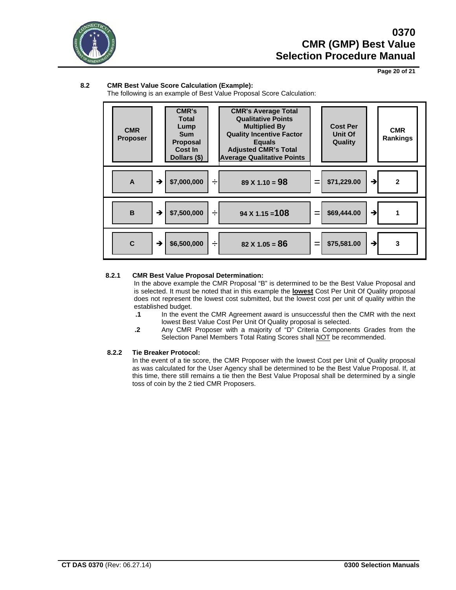

**Page 20 of 21**

## **8.2 CMR Best Value Score Calculation (Example):**

The following is an example of Best Value Proposal Score Calculation:



### **8.2.1 CMR Best Value Proposal Determination:**

In the above example the CMR Proposal "B" is determined to be the Best Value Proposal and is selected. It must be noted that in this example the **lowest** Cost Per Unit Of Quality proposal does not represent the lowest cost submitted, but the lowest cost per unit of quality within the established budget.

- **.1** In the event the CMR Agreement award is unsuccessful then the CMR with the next lowest Best Value Cost Per Unit Of Quality proposal is selected.
- **.2** Any CMR Proposer with a majority of "D" Criteria Components Grades from the Selection Panel Members Total Rating Scores shall NOT be recommended.

### **8.2.2 Tie Breaker Protocol:**

In the event of a tie score, the CMR Proposer with the lowest Cost per Unit of Quality proposal as was calculated for the User Agency shall be determined to be the Best Value Proposal. If, at this time, there still remains a tie then the Best Value Proposal shall be determined by a single toss of coin by the 2 tied CMR Proposers.